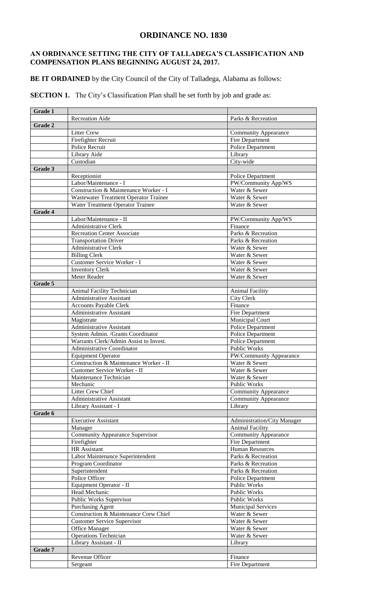## **ORDINANCE NO. 1830**

## **AN ORDINANCE SETTING THE CITY OF TALLADEGA'S CLASSIFICATION AND COMPENSATION PLANS BEGINNING AUGUST 24, 2017.**

**BE IT ORDAINED** by the City Council of the City of Talladega, Alabama as follows:

**SECTION 1.** The City's Classification Plan shall be set forth by job and grade as:

| <b>Grade 1</b> |                                                               |                             |  |  |  |  |
|----------------|---------------------------------------------------------------|-----------------------------|--|--|--|--|
|                | <b>Recreation Aide</b>                                        | Parks & Recreation          |  |  |  |  |
| Grade 2        |                                                               |                             |  |  |  |  |
|                | <b>Litter Crew</b>                                            | <b>Community Appearance</b> |  |  |  |  |
|                | Firefighter Recruit                                           | Fire Department             |  |  |  |  |
|                | Police Recruit                                                | <b>Police Department</b>    |  |  |  |  |
|                | Library Aide                                                  | Library                     |  |  |  |  |
|                | Custodian                                                     | City-wide                   |  |  |  |  |
| Grade 3        |                                                               |                             |  |  |  |  |
|                | Receptionist                                                  | Police Department           |  |  |  |  |
|                | Labor/Maintenance - I                                         | PW/Community App/WS         |  |  |  |  |
|                | Construction & Maintenance Worker - I                         | Water & Sewer               |  |  |  |  |
|                | Wastewater Treatment Operator Trainee                         | Water & Sewer               |  |  |  |  |
|                | Water Treatment Operator Trainee                              | Water & Sewer               |  |  |  |  |
| <b>Grade 4</b> |                                                               |                             |  |  |  |  |
|                | Labor/Maintenance - II                                        | PW/Community App/WS         |  |  |  |  |
|                | <b>Administrative Clerk</b>                                   | Finance                     |  |  |  |  |
|                | <b>Recreation Center Associate</b>                            | Parks & Recreation          |  |  |  |  |
|                | <b>Transportation Driver</b>                                  | Parks & Recreation          |  |  |  |  |
|                | Administrative Clerk                                          | Water & Sewer               |  |  |  |  |
|                | <b>Billing Clerk</b>                                          | Water & Sewer               |  |  |  |  |
|                | Customer Service Worker - I                                   | Water & Sewer               |  |  |  |  |
|                | <b>Inventory Clerk</b>                                        | Water & Sewer               |  |  |  |  |
|                | Meter Reader                                                  | Water & Sewer               |  |  |  |  |
| Grade 5        |                                                               |                             |  |  |  |  |
|                |                                                               |                             |  |  |  |  |
|                | Animal Facility Technician<br><b>Administrative Assistant</b> | <b>Animal Facility</b>      |  |  |  |  |
|                |                                                               | <b>City Clerk</b>           |  |  |  |  |
|                | <b>Accounts Payable Clerk</b>                                 | Finance                     |  |  |  |  |
|                | <b>Administrative Assistant</b>                               | Fire Department             |  |  |  |  |
|                | Magistrate                                                    | Municipal Court             |  |  |  |  |
|                | Administrative Assistant                                      | Police Department           |  |  |  |  |
|                | System Admin. /Grants Coordinator                             | <b>Police Department</b>    |  |  |  |  |
|                | Warrants Clerk/Admin Assist to Invest.                        | Police Department           |  |  |  |  |
|                | <b>Administrative Coordinator</b>                             | <b>Public Works</b>         |  |  |  |  |
|                | <b>Equipment Operator</b>                                     | PW/Community Appearance     |  |  |  |  |
|                | Construction & Maintenance Worker - II                        | Water & Sewer               |  |  |  |  |
|                | Customer Service Worker - II                                  | Water & Sewer               |  |  |  |  |
|                | Maintenance Technician                                        | Water & Sewer               |  |  |  |  |
|                | Mechanic                                                      | Public Works                |  |  |  |  |
|                | Litter Crew Chief                                             | <b>Community Appearance</b> |  |  |  |  |
|                | Administrative Assistant                                      | <b>Community Appearance</b> |  |  |  |  |
|                | Library Assistant - I                                         | Library                     |  |  |  |  |
| Grade 6        |                                                               |                             |  |  |  |  |
|                | <b>Executive Assistant</b>                                    | Administration/City Manager |  |  |  |  |
|                | Manager                                                       | <b>Animal Facility</b>      |  |  |  |  |
|                | <b>Community Appearance Supervisor</b>                        | <b>Community Appearance</b> |  |  |  |  |
|                | Firefighter                                                   | Fire Department             |  |  |  |  |
|                | HR Assistant                                                  | <b>Human Resources</b>      |  |  |  |  |
|                | Labor Maintenance Superintendent                              | Parks & Recreation          |  |  |  |  |
|                | Program Coordinator                                           | Parks & Recreation          |  |  |  |  |
|                | Superintendent                                                | Parks & Recreation          |  |  |  |  |
|                | Police Officer                                                | Police Department           |  |  |  |  |
|                | Equipment Operator - II                                       | <b>Public Works</b>         |  |  |  |  |
|                | Head Mechanic                                                 | <b>Public Works</b>         |  |  |  |  |
|                | Public Works Supervisor                                       | <b>Public Works</b>         |  |  |  |  |
|                | Purchasing Agent                                              | <b>Municipal Services</b>   |  |  |  |  |
|                | Construction & Maintenance Crew Chief                         | Water & Sewer               |  |  |  |  |
|                | <b>Customer Service Supervisor</b>                            | Water & Sewer               |  |  |  |  |
|                | Office Manager                                                | Water & Sewer               |  |  |  |  |
|                | <b>Operations Technician</b>                                  | Water & Sewer               |  |  |  |  |
|                | Library Assistant - II                                        | Library                     |  |  |  |  |
| Grade 7        |                                                               |                             |  |  |  |  |
|                | Revenue Officer                                               | Finance                     |  |  |  |  |
|                | Sergeant                                                      | Fire Department             |  |  |  |  |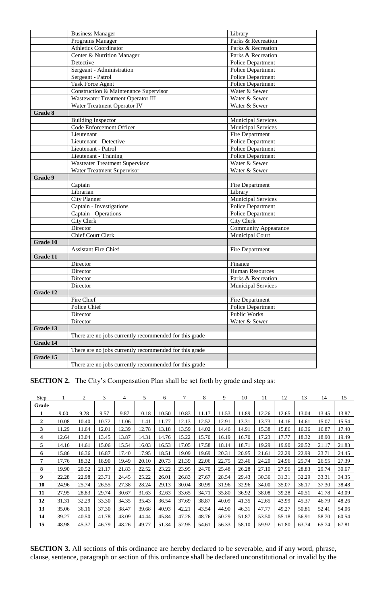|          | <b>Business Manager</b>                                | Library                     |  |  |  |  |
|----------|--------------------------------------------------------|-----------------------------|--|--|--|--|
|          | Programs Manager                                       | Parks & Recreation          |  |  |  |  |
|          | Athletics Coordinator                                  | Parks & Recreation          |  |  |  |  |
|          | Center & Nutrition Manager                             | Parks & Recreation          |  |  |  |  |
|          | Detective                                              | <b>Police Department</b>    |  |  |  |  |
|          | Sergeant - Administration                              | Police Department           |  |  |  |  |
|          | Sergeant - Patrol                                      | Police Department           |  |  |  |  |
|          | Task Force Agent                                       | Police Department           |  |  |  |  |
|          | Construction & Maintenance Supervisor                  | Water & Sewer               |  |  |  |  |
|          | <b>Wastewater Treatment Operator III</b>               | Water & Sewer               |  |  |  |  |
|          | Water Treatment Operator IV                            | Water & Sewer               |  |  |  |  |
| Grade 8  |                                                        |                             |  |  |  |  |
|          | <b>Building Inspector</b>                              | <b>Municipal Services</b>   |  |  |  |  |
|          | Code Enforcement Officer                               | <b>Municipal Services</b>   |  |  |  |  |
|          | Lieutenant                                             | Fire Department             |  |  |  |  |
|          | Lieutenant - Detective                                 | Police Department           |  |  |  |  |
|          | Lieutenant - Patrol                                    | Police Department           |  |  |  |  |
|          | Lieutenant - Training                                  | <b>Police Department</b>    |  |  |  |  |
|          | <b>Wasteater Treatment Supervisor</b>                  | Water & Sewer               |  |  |  |  |
|          | Water Treatment Supervisor                             | Water & Sewer               |  |  |  |  |
| Grade 9  |                                                        |                             |  |  |  |  |
|          | Captain                                                | Fire Department             |  |  |  |  |
|          | Librarian                                              | Library                     |  |  |  |  |
|          | <b>City Planner</b>                                    | <b>Municipal Services</b>   |  |  |  |  |
|          | Captain - Investigations                               | Police Department           |  |  |  |  |
|          | Captain - Operations                                   | Police Department           |  |  |  |  |
|          | <b>City Clerk</b>                                      | <b>City Clerk</b>           |  |  |  |  |
|          | Director                                               | <b>Community Appearance</b> |  |  |  |  |
|          | <b>Chief Court Clerk</b>                               | Municipal Court             |  |  |  |  |
| Grade 10 |                                                        |                             |  |  |  |  |
|          | <b>Assistant Fire Chief</b>                            | Fire Department             |  |  |  |  |
| Grade 11 |                                                        |                             |  |  |  |  |
|          | Director                                               | Finance                     |  |  |  |  |
|          | Director                                               | <b>Human Resources</b>      |  |  |  |  |
|          | Director                                               | Parks & Recreation          |  |  |  |  |
|          | Director                                               | <b>Municipal Services</b>   |  |  |  |  |
| Grade 12 |                                                        |                             |  |  |  |  |
|          | Fire Chief                                             | Fire Department             |  |  |  |  |
|          | Police Chief                                           | Police Department           |  |  |  |  |
|          | Director                                               | Public Works                |  |  |  |  |
|          | Director                                               | Water & Sewer               |  |  |  |  |
| Grade 13 |                                                        |                             |  |  |  |  |
|          | There are no jobs currently recommended for this grade |                             |  |  |  |  |
| Grade 14 |                                                        |                             |  |  |  |  |
|          | There are no jobs currently recommended for this grade |                             |  |  |  |  |
| Grade 15 |                                                        |                             |  |  |  |  |
|          | There are no jobs currently recommended for this grade |                             |  |  |  |  |

**SECTION 2.** The City's Compensation Plan shall be set forth by grade and step as:

| Step         |       | 2     | 3     | 4     | 5     | 6     | 7     | 8     | 9     | 10    | 11    | 12    | 13    | 14    | 15    |
|--------------|-------|-------|-------|-------|-------|-------|-------|-------|-------|-------|-------|-------|-------|-------|-------|
| Grade        |       |       |       |       |       |       |       |       |       |       |       |       |       |       |       |
|              | 9.00  | 9.28  | 9.57  | 9.87  | 10.18 | 10.50 | 10.83 | 11.17 | 11.53 | 11.89 | 12.26 | 12.65 | 13.04 | 13.45 | 13.87 |
| $\mathbf{2}$ | 10.08 | 10.40 | 10.72 | 11.06 | 11.41 | 11.77 | 12.13 | 12.52 | 12.91 | 13.31 | 13.73 | 14.16 | 14.61 | 15.07 | 15.54 |
| 3            | 11.29 | 11.64 | 12.01 | 12.39 | 12.78 | 13.18 | 13.59 | 14.02 | 14.46 | 14.91 | 15.38 | 15.86 | 16.36 | 16.87 | 17.40 |
| 4            | 12.64 | 13.04 | 13.45 | 13.87 | 14.31 | 14.76 | 15.22 | 15.70 | 16.19 | 16.70 | 17.23 | 17.77 | 18.32 | 18.90 | 19.49 |
| 5            | 14.16 | 14.61 | 15.06 | 15.54 | 16.03 | 16.53 | 17.05 | 17.58 | 18.14 | 18.71 | 19.29 | 19.90 | 20.52 | 21.17 | 21.83 |
| 6            | 15.86 | 16.36 | 16.87 | 17.40 | 17.95 | 18.51 | 19.09 | 19.69 | 20.31 | 20.95 | 21.61 | 22.29 | 22.99 | 23.71 | 24.45 |
| 7            | 17.76 | 18.32 | 18.90 | 19.49 | 20.10 | 20.73 | 21.39 | 22.06 | 22.75 | 23.46 | 24.20 | 24.96 | 25.74 | 26.55 | 27.39 |
| 8            | 19.90 | 20.52 | 21.17 | 21.83 | 22.52 | 23.22 | 23.95 | 24.70 | 25.48 | 26.28 | 27.10 | 27.96 | 28.83 | 29.74 | 30.67 |
| 9            | 22.28 | 22.98 | 23.71 | 24.45 | 25.22 | 26.01 | 26.83 | 27.67 | 28.54 | 29.43 | 30.36 | 31.31 | 32.29 | 33.31 | 34.35 |
| 10           | 24.96 | 25.74 | 26.55 | 27.38 | 28.24 | 29.13 | 30.04 | 30.99 | 31.96 | 32.96 | 34.00 | 35.07 | 36.17 | 37.30 | 38.48 |
| 11           | 27.95 | 28.83 | 29.74 | 30.67 | 31.63 | 32.63 | 33.65 | 34.71 | 35.80 | 36.92 | 38.08 | 39.28 | 40.51 | 41.78 | 43.09 |
| 12           | 31.31 | 32.29 | 33.30 | 34.35 | 35.43 | 36.54 | 37.69 | 38.87 | 40.09 | 41.35 | 42.65 | 43.99 | 45.37 | 46.79 | 48.26 |
| 13           | 35.06 | 36.16 | 37.30 | 38.47 | 39.68 | 40.93 | 42.21 | 43.54 | 44.90 | 46.31 | 47.77 | 49.27 | 50.81 | 52.41 | 54.06 |
| 14           | 39.27 | 40.50 | 41.78 | 43.09 | 44.44 | 45.84 | 47.28 | 48.76 | 50.29 | 51.87 | 53.50 | 55.18 | 56.91 | 58.70 | 60.54 |
| 15           | 48.98 | 45.37 | 46.79 | 48.26 | 49.77 | 51.34 | 52.95 | 54.61 | 56.33 | 58.10 | 59.92 | 61.80 | 63.74 | 65.74 | 67.81 |

**SECTION 3.** All sections of this ordinance are hereby declared to be severable, and if any word, phrase, clause, sentence, paragraph or section of this ordinance shall be declared unconstitutional or invalid by the